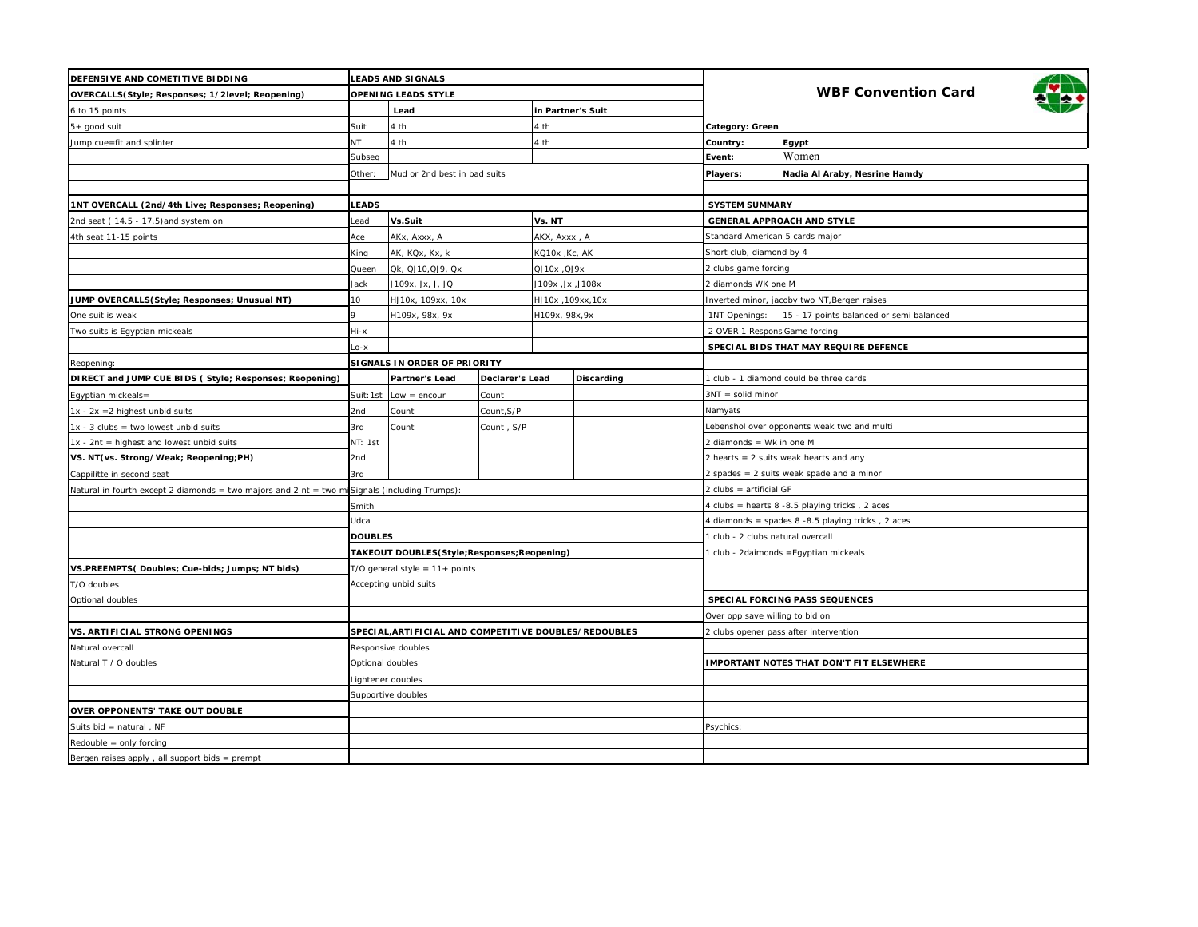| DEFENSIVE AND COMETITIVE BIDDING                                                              | <b>LEADS AND SIGNALS</b>     |                                                      |            |                    |                   |                                                           |  |
|-----------------------------------------------------------------------------------------------|------------------------------|------------------------------------------------------|------------|--------------------|-------------------|-----------------------------------------------------------|--|
| OVERCALLS(Style; Responses; 1/2level; Reopening)                                              | OPENING LEADS STYLE          |                                                      |            |                    |                   | <b>WBF Convention Card</b>                                |  |
| 6 to 15 points                                                                                |                              | Lead<br>in Partner's Suit                            |            |                    |                   |                                                           |  |
| $5+$ good suit                                                                                | Suit                         | 4 th                                                 |            | 4 th               |                   | Category: Green                                           |  |
| Jump cue=fit and splinter                                                                     | NT.                          | 4 th                                                 |            | 4 th               |                   | Country:<br>Egypt                                         |  |
|                                                                                               | Subseq                       |                                                      |            |                    |                   | Women<br>Event:                                           |  |
|                                                                                               | Other:                       | Mud or 2nd best in bad suits                         |            |                    |                   | Players:<br>Nadia Al Araby, Nesrine Hamdy                 |  |
|                                                                                               |                              |                                                      |            |                    |                   |                                                           |  |
| 1NT OVERCALL (2nd/4th Live; Responses; Reopening)                                             | <b>LEADS</b>                 |                                                      |            |                    |                   | <b>SYSTEM SUMMARY</b>                                     |  |
| 2nd seat (14.5 - 17.5) and system on                                                          | ead                          | Vs.Suit                                              |            | Vs. NT             |                   | <b>GENERAL APPROACH AND STYLE</b>                         |  |
| 4th seat 11-15 points                                                                         | Ace                          | AKx, Axxx, A                                         |            | AKX, Axxx, A       |                   | Standard American 5 cards major                           |  |
|                                                                                               | King                         | AK, KQx, Kx, k                                       |            | KQ10x ,Kc, AK      |                   | Short club, diamond by 4                                  |  |
|                                                                                               | Queen                        | Qk, QJ10, QJ9, Qx                                    |            | <b>QJ10x, QJ9x</b> |                   | 2 clubs game forcing                                      |  |
|                                                                                               | Jack                         | J109x, Jx, J, JQ                                     |            | J109x ,Jx ,J108x   |                   | 2 diamonds WK one M                                       |  |
| JUMP OVERCALLS(Style; Responses; Unusual NT)                                                  | 10                           | HJ10x, 109xx, 10x                                    |            | HJ10x ,109xx,10x   |                   | Inverted minor, jacoby two NT, Bergen raises              |  |
| One suit is weak                                                                              |                              | H109x, 98x, 9x                                       |            | H109x, 98x, 9x     |                   | 1NT Openings:<br>15 - 17 points balanced or semi balanced |  |
| Two suits is Egyptian mickeals                                                                | Hi-x                         |                                                      |            |                    |                   | 2 OVER 1 Respons Game forcing                             |  |
|                                                                                               | Lo-x                         |                                                      |            |                    |                   | SPECIAL BIDS THAT MAY REQUIRE DEFENCE                     |  |
| Reopening:                                                                                    | SIGNALS IN ORDER OF PRIORITY |                                                      |            |                    |                   |                                                           |  |
| DIRECT and JUMP CUE BIDS (Style; Responses; Reopening)                                        |                              | Partner's Lead<br>Declarer's Lead                    |            |                    | <b>Discarding</b> | 1 club - 1 diamond could be three cards                   |  |
| Egyptian mickeals=                                                                            | Suit: 1st                    | $Low = encour$                                       | Count      |                    |                   | $3NT = solid minor$                                       |  |
| $1x - 2x = 2$ highest unbid suits                                                             | 2nd                          | Count                                                | Count, S/P |                    |                   | Namyats                                                   |  |
| $1x - 3$ clubs = two lowest unbid suits                                                       | 3rd                          | Count                                                | Count, S/P |                    |                   | Lebenshol over opponents weak two and multi               |  |
| $1x - 2nt$ = highest and lowest unbid suits                                                   | NT: 1st                      |                                                      |            |                    |                   | 2 diamonds = Wk in one M                                  |  |
| VS. NT(vs. Strong/Weak; Reopening;PH)                                                         | 2nd                          |                                                      |            |                    |                   | 2 hearts = 2 suits weak hearts and any                    |  |
| Cappilitte in second seat                                                                     |                              | 3rd                                                  |            |                    |                   | 2 spades = 2 suits weak spade and a minor                 |  |
| Natural in fourth except 2 diamonds = two majors and 2 nt = two misignals (including Trumps): |                              |                                                      |            |                    |                   | 2 clubs = artificial GF                                   |  |
|                                                                                               | Smith                        |                                                      |            |                    |                   | 4 clubs = hearts 8 -8.5 playing tricks, 2 aces            |  |
|                                                                                               | Udca                         |                                                      |            |                    |                   | 4 diamonds = spades 8 -8.5 playing tricks, 2 aces         |  |
|                                                                                               | <b>DOUBLES</b>               |                                                      |            |                    |                   | 1 club - 2 clubs natural overcall                         |  |
|                                                                                               |                              | TAKEOUT DOUBLES(Style;Responses;Reopening)           |            |                    |                   | 1 club - 2daimonds = Egyptian mickeals                    |  |
| VS.PREEMPTS(Doubles; Cue-bids; Jumps; NT bids)                                                |                              | $T/O$ general style = $11+$ points                   |            |                    |                   |                                                           |  |
| T/O doubles                                                                                   |                              | Accepting unbid suits                                |            |                    |                   |                                                           |  |
| Optional doubles                                                                              |                              |                                                      |            |                    |                   | SPECIAL FORCING PASS SEQUENCES                            |  |
|                                                                                               |                              |                                                      |            |                    |                   | Over opp save willing to bid on                           |  |
| <b>VS. ARTIFICIAL STRONG OPENINGS</b>                                                         |                              | SPECIAL,ARTIFICIAL AND COMPETITIVE DOUBLES/REDOUBLES |            |                    |                   | 2 clubs opener pass after intervention                    |  |
| Natural overcall                                                                              |                              | Responsive doubles                                   |            |                    |                   |                                                           |  |
| Natural T / O doubles                                                                         | Optional doubles             |                                                      |            |                    |                   | <b>IMPORTANT NOTES THAT DON'T FIT ELSEWHERE</b>           |  |
|                                                                                               | Lightener doubles            |                                                      |            |                    |                   |                                                           |  |
|                                                                                               | Supportive doubles           |                                                      |            |                    |                   |                                                           |  |
| OVER OPPONENTS' TAKE OUT DOUBLE                                                               |                              |                                                      |            |                    |                   |                                                           |  |
| Suits bid = natural, NF                                                                       |                              |                                                      |            |                    |                   | Psychics:                                                 |  |
| $Redouble = only forcing$                                                                     |                              |                                                      |            |                    |                   |                                                           |  |
| Bergen raises apply, all support bids = prempt                                                |                              |                                                      |            |                    |                   |                                                           |  |